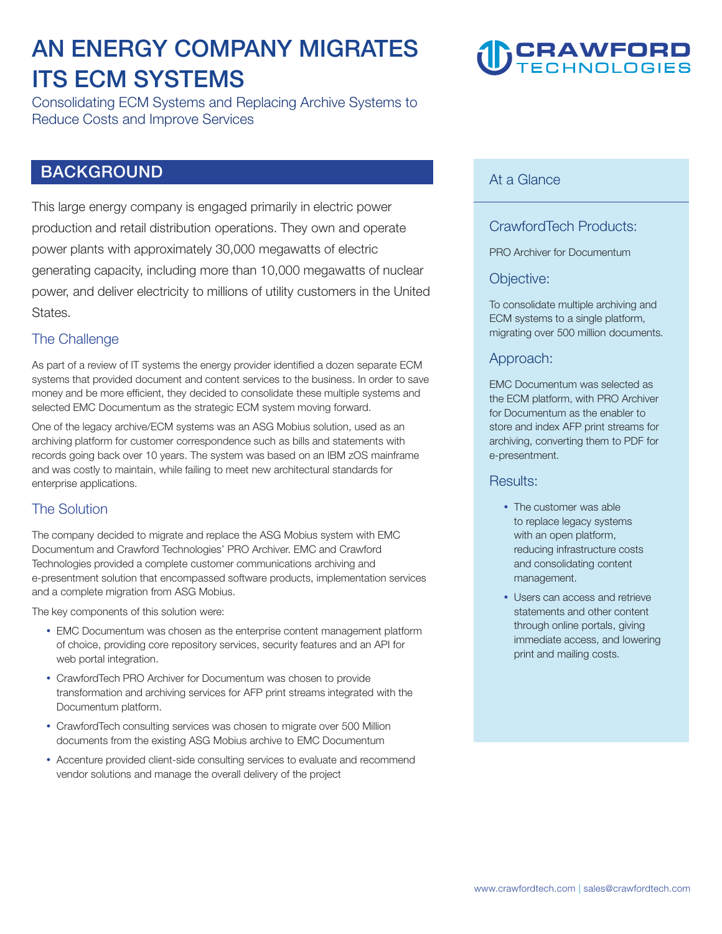# **AN ENERGY COMPANY MIGRATES ITS ECM SYSTEMS**

**Consolidating ECM Systems and Replacing Archive Systems to Reduce Costs and Improve Services** 

# **BACKGROUND**

**This large energy company is engaged primarily in electric power production and retail distribution operations. They own and operate power plants with approximately 30,000 megawatts of electric generating capacity, including more than 10,000 megawatts of nuclear power, and deliver electricity to millions of utility customers in the United States.** 

## **The Challenge**

**As part of a review of IT systems the energy provider identified a dozen separate ECM systems that provided document and content services to the business. In order to save money and be more efficient, they decided to consolidate these multiple systems and selected EMC Documentum as the strategic ECM system moving forward.** 

**One of the legacy archive/ECM systems was an ASG Mobius solution, used as an archiving platform for customer correspondence such as bills and statements with records going back over 10 years. The system was based on an IBM zOS mainframe and was costly to maintain, while failing to meet new architectural standards for enterprise applications.** 

# **The Solution**

**The company decided to migrate and replace the ASG Mobius system with EMC Documentum and Crawford Technologies' PRO Archiver. EMC and Crawford Technologies provided a complete customer communications archiving and e-presentment solution that encompassed software products, implementation services and a complete migration from ASG Mobius.**

**The key components of this solution were:** 

- **EMC Documentum was chosen as the enterprise content management platform of choice, providing core repository services, security features and an API for web portal integration.**
- **CrawfordTech PRO Archiver for Documentum was chosen to provide transformation and archiving services for AFP print streams integrated with the Documentum platform.**
- **CrawfordTech consulting services was chosen to migrate over 500 Million documents from the existing ASG Mobius archive to EMC Documentum**
- **Accenture provided client-side consulting services to evaluate and recommend vendor solutions and manage the overall delivery of the project**

# **CRAWFORD**

## **At a Glance**

# **CrawfordTech Products:**

**PRO Archiver for Documentum** 

#### **Objective:**

**To consolidate multiple archiving and ECM systems to a single platform, migrating over 500 million documents.** 

#### **Approach:**

**EMC Documentum was selected as the ECM platform, with PRO Archiver for Documentum as the enabler to store and index AFP print streams for archiving, converting them to PDF for e-presentment.**

#### **Results:**

- **The customer was able to replace legacy systems with an open platform, reducing infrastructure costs and consolidating content management.**
- **Users can access and retrieve statements and other content through online portals, giving immediate access, and lowering print and mailing costs.**